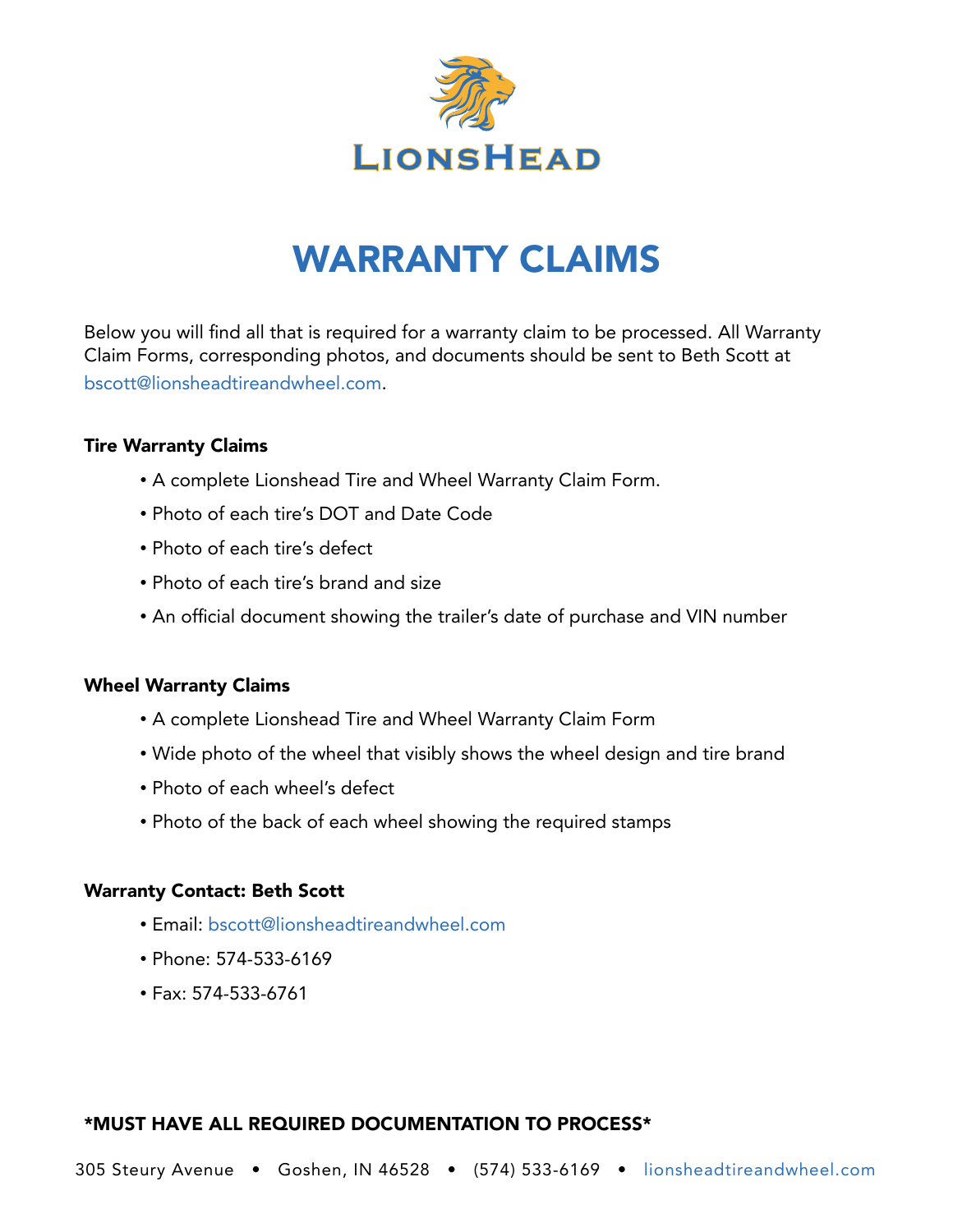

## WARRANTY CLAIMS

Below you will find all that is required for a warranty claim to be processed. All Warranty Claim Forms, corresponding photos, and documents should be sent to Beth Scott at [bscott@lionsheadtireandwheel.com](mailto:bscott%40lionsheadtireandwheel.com?subject=).

### Tire Warranty Claims

- A complete Lionshead Tire and Wheel Warranty Claim Form.
- Photo of each tire's DOT and Date Code
- Photo of each tire's defect
- Photo of each tire's brand and size
- An official document showing the trailer's date of purchase and VIN number

### Wheel Warranty Claims

- A complete Lionshead Tire and Wheel Warranty Claim Form
- Wide photo of the wheel that visibly shows the wheel design and tire brand
- Photo of each wheel's defect
- Photo of the back of each wheel showing the required stamps

## Warranty Contact: Beth Scott

- Email: [bscott@lionsheadtireandwheel.com](mailto:bscott%40lionsheadtireandwheel.com?subject=)
- Phone: 574-533-6169
- Fax: 574-533-6761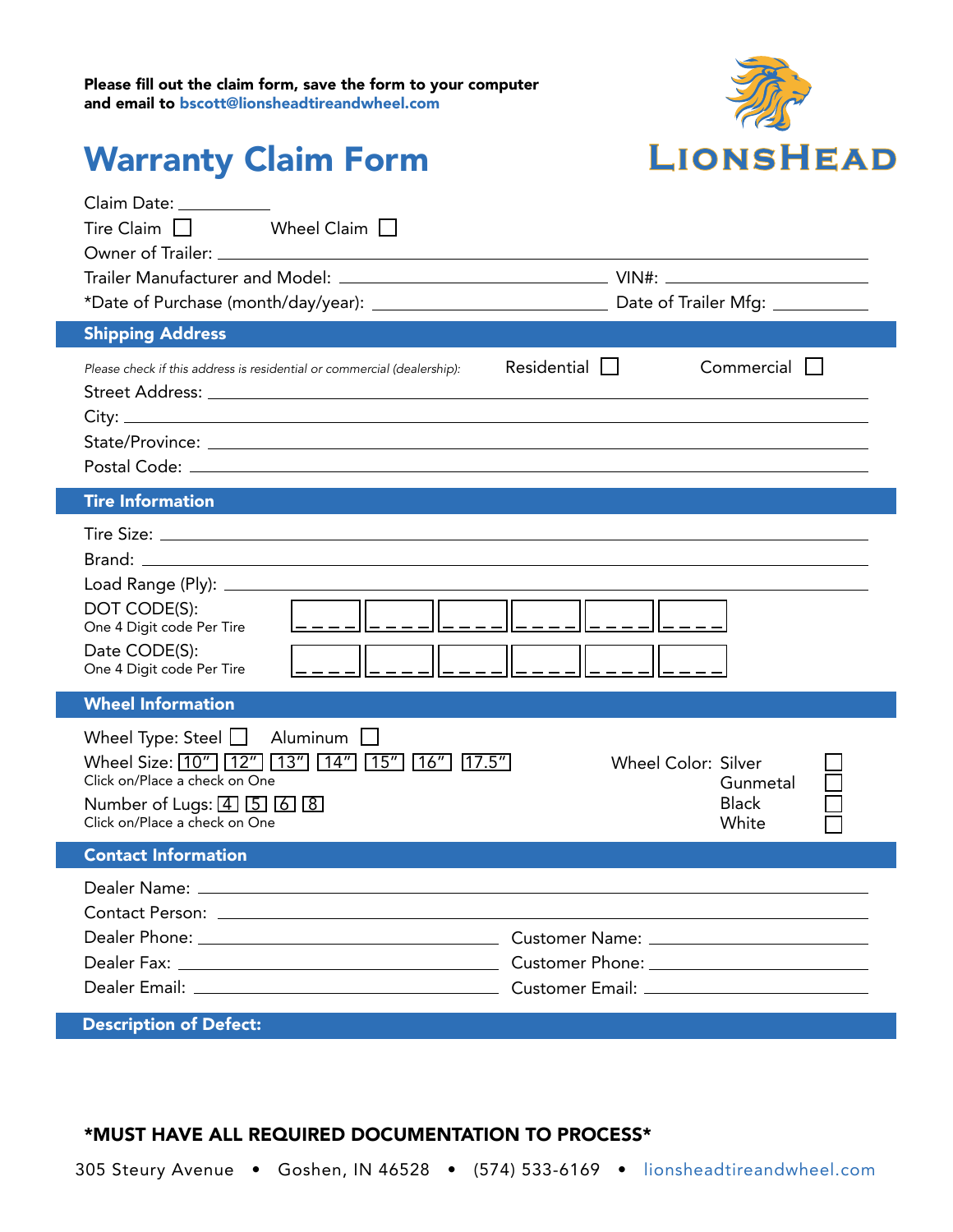

## Warranty Claim Form

| Claim Date: The Claim Date:<br>Tire Claim $\Box$<br>Wheel Claim<br><b>Shipping Address</b><br>Please check if this address is residential or commercial (dealership):                                                                | Residential $\Box$<br>Commercial                                |
|--------------------------------------------------------------------------------------------------------------------------------------------------------------------------------------------------------------------------------------|-----------------------------------------------------------------|
|                                                                                                                                                                                                                                      |                                                                 |
| <b>Tire Information</b>                                                                                                                                                                                                              |                                                                 |
| DOT CODE(S):<br>One 4 Digit code Per Tire<br>Date CODE(S):<br>One 4 Digit code Per Tire                                                                                                                                              |                                                                 |
| <b>Wheel Information</b>                                                                                                                                                                                                             |                                                                 |
| Wheel Type: Steel $\Box$<br>Aluminum<br>Wheel Size: [10"] [12"] [13"] [14"] [15"] [16"] [17.5"]<br>Click on/Place a check on One<br>Number of Lugs: $\boxed{4}$ $\boxed{5}$ $\boxed{6}$ $\boxed{8}$<br>Click on/Place a check on One | <b>Wheel Color: Silver</b><br>Gunmetal<br><b>Black</b><br>White |
| <b>Contact Information</b>                                                                                                                                                                                                           |                                                                 |
| Dealer Name: _________                                                                                                                                                                                                               |                                                                 |
|                                                                                                                                                                                                                                      |                                                                 |
|                                                                                                                                                                                                                                      |                                                                 |
| <b>Description of Defect:</b>                                                                                                                                                                                                        |                                                                 |

#### \*MUST HAVE ALL REQUIRED DOCUMENTATION TO PROCESS\*

305 Steury Avenue • Goshen, IN 46528 • (574) 533-6169 • [lionsheadtireandwheel.com](http://lionsheadtireandwheel.com)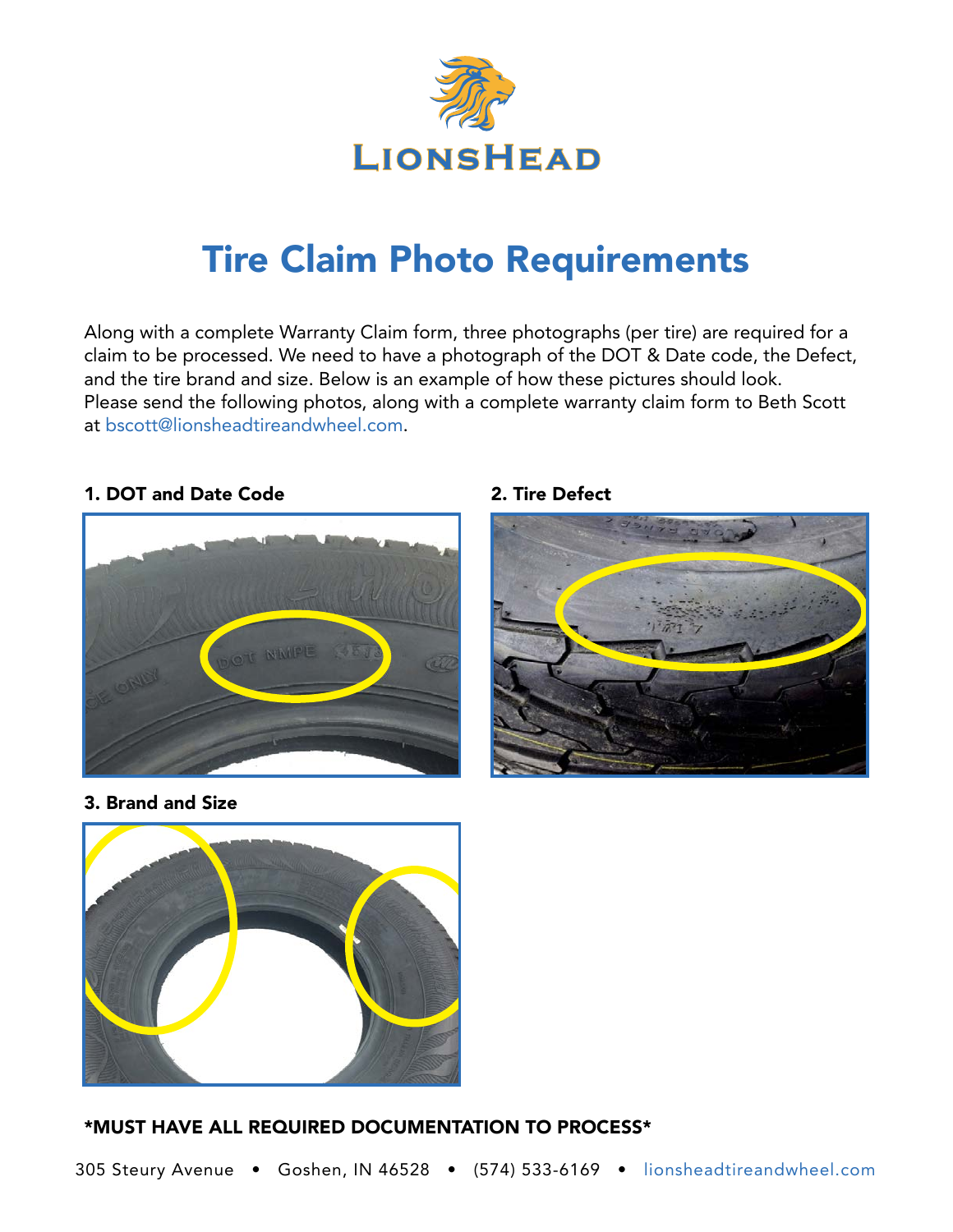

## Tire Claim Photo Requirements

Along with a complete Warranty Claim form, three photographs (per tire) are required for a claim to be processed. We need to have a photograph of the DOT & Date code, the Defect, and the tire brand and size. Below is an example of how these pictures should look. Please send the following photos, along with a complete warranty claim form to Beth Scott at [bscott@lionsheadtireandwheel.com](mailto:bscott%40lionsheadtireandwheel.com?subject=).

## 1. DOT and Date Code



2. Tire Defect



3. Brand and Size

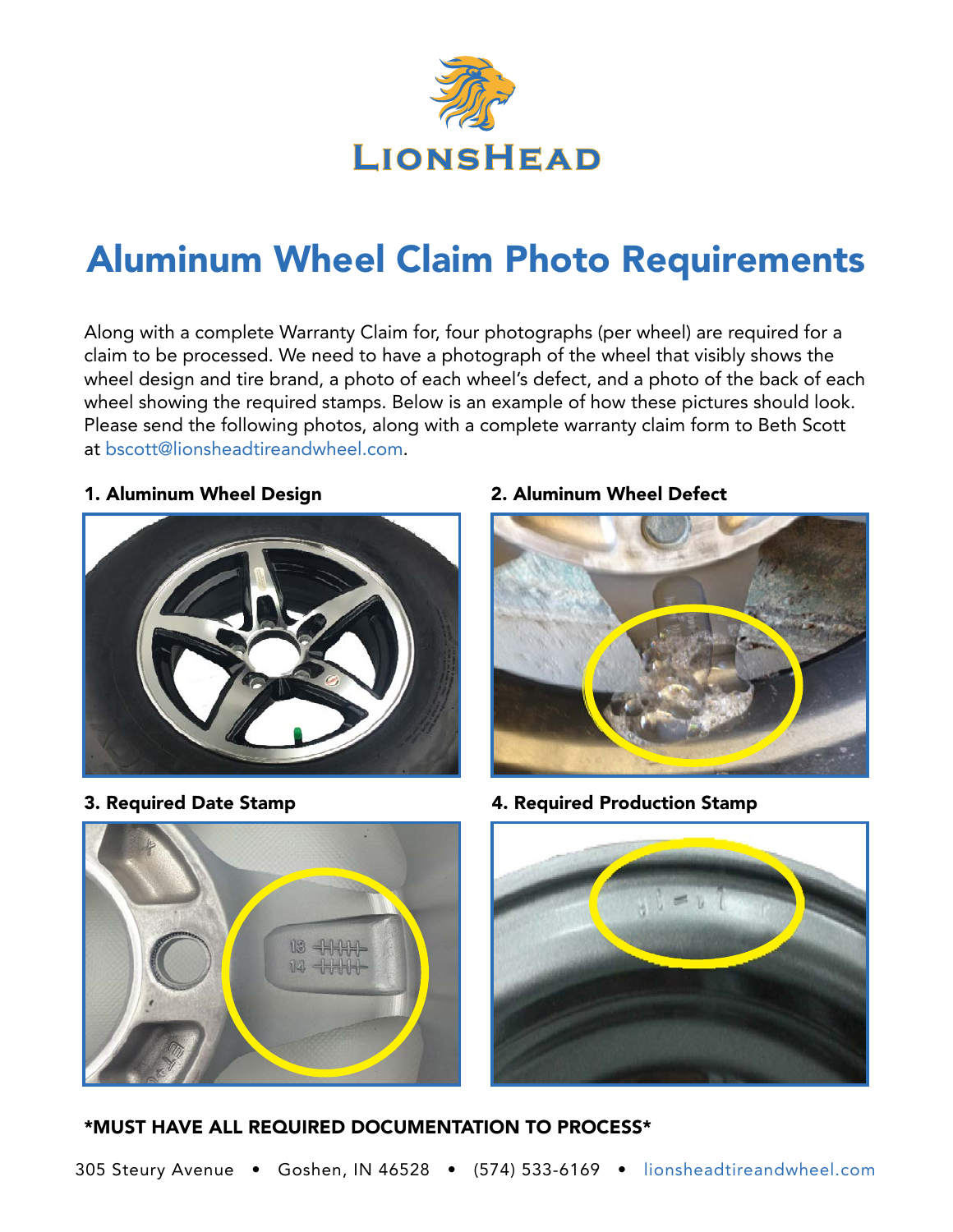

## Aluminum Wheel Claim Photo Requirements

Along with a complete Warranty Claim for, four photographs (per wheel) are required for a claim to be processed. We need to have a photograph of the wheel that visibly shows the wheel design and tire brand, a photo of each wheel's defect, and a photo of the back of each wheel showing the required stamps. Below is an example of how these pictures should look. Please send the following photos, along with a complete warranty claim form to Beth Scott at [bscott@lionsheadtireandwheel.com](mailto:bscott%40lionsheadtireandwheel.com?subject=).

#### 1. Aluminum Wheel Design



### 2. Aluminum Wheel Defect



3. Required Date Stamp 4. Required Production Stamp